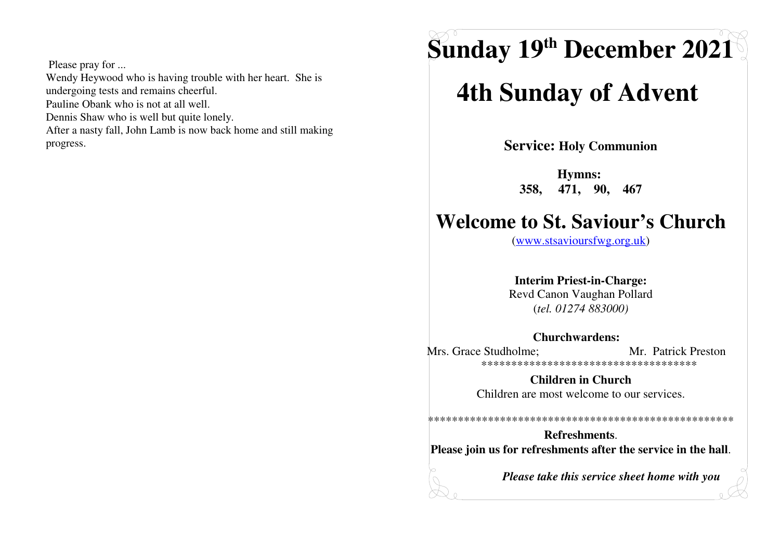Please pray for ... Wendy Heywood who is having trouble with her heart. She is undergoing tests and remains cheerful. Pauline Obank who is not at all well. Dennis Shaw who is well but quite lonely. After a nasty fall, John Lamb is now back home and still making progress.

# **Sunday 19th December 2021**

## **4th Sunday of Advent**

**Service: Holy Communion** 

Hymns: 471, 90, 467 358.

### **Welcome to St. Saviour's Church**

 $(www.stsavioursfwg.org.uk)$ 

#### **Interim Priest-in-Charge:**

Revd Canon Vaughan Pollard  $(tel. 01274 883000)$ 

#### Churchwardens:

Mrs. Grace Studholme: Mr. Patrick Preston \*\*\*\*\*\*\*\*\*\*\*\*\*\*\*\*\*\*\*\*\*\*\*\*\*\*\*\*\*\*\*\*\*\*\*\*\*\*

> **Children in Church** Children are most welcome to our services.

**Refreshments** Please join us for refreshments after the service in the hall.

Please take this service sheet home with you